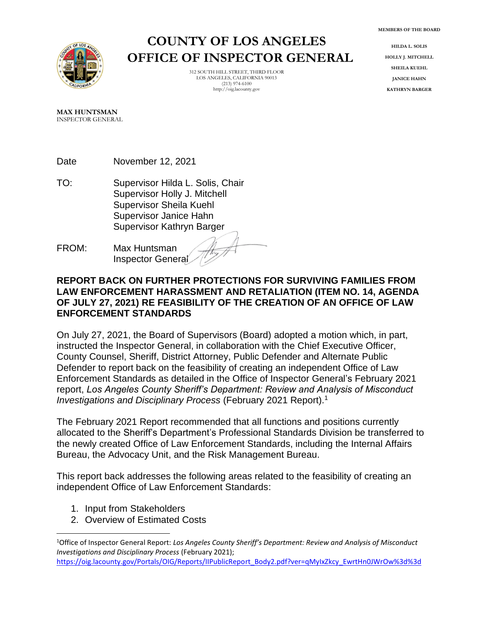

# **COUNTY OF LOS ANGELES OFFICE OF INSPECTOR GENERAL**

312 SOUTH HILL STREET, THIRD FLOOR LOS ANGELES, CALIFORNIA 90013 (213) 974-6100 http://oig.lacounty.gov

**HILDA L. SOLIS HOLLY J. MITCHELL SHEILA KUEHL JANICE HAHN KATHRYN BARGER**

**MAX HUNTSMAN** INSPECTOR GENERAL

Date November 12, 2021

- TO: Supervisor Hilda L. Solis, Chair Supervisor Holly J. Mitchell Supervisor Sheila Kuehl Supervisor Janice Hahn Supervisor Kathryn Barger
- FROM: Max Huntsman Inspector General

#### **REPORT BACK ON FURTHER PROTECTIONS FOR SURVIVING FAMILIES FROM LAW ENFORCEMENT HARASSMENT AND RETALIATION (ITEM NO. 14, AGENDA OF JULY 27, 2021) RE FEASIBILITY OF THE CREATION OF AN OFFICE OF LAW ENFORCEMENT STANDARDS**

On July 27, 2021, the Board of Supervisors (Board) adopted a motion which, in part, instructed the Inspector General, in collaboration with the Chief Executive Officer, County Counsel, Sheriff, District Attorney, Public Defender and Alternate Public Defender to report back on the feasibility of creating an independent Office of Law Enforcement Standards as detailed in the Office of Inspector General's February 2021 report, *Los Angeles County Sheriff's Department: Review and Analysis of Misconduct Investigations and Disciplinary Process* (February 2021 Report).<sup>1</sup>

The February 2021 Report recommended that all functions and positions currently allocated to the Sheriff's Department's Professional Standards Division be transferred to the newly created Office of Law Enforcement Standards, including the Internal Affairs Bureau, the Advocacy Unit, and the Risk Management Bureau.

This report back addresses the following areas related to the feasibility of creating an independent Office of Law Enforcement Standards:

- 1. Input from Stakeholders
- 2. Overview of Estimated Costs

<sup>1</sup>Office of Inspector General Report: *Los Angeles County Sheriff's Department: Review and Analysis of Misconduct Investigations and Disciplinary Process* (February 2021);

[https://oig.lacounty.gov/Portals/OIG/Reports/IIPublicReport\\_Body2.pdf?ver=qMyIxZkcy\\_EwrtHn0JWrOw%3d%3d](https://oig.lacounty.gov/Portals/OIG/Reports/IIPublicReport_Body2.pdf?ver=qMyIxZkcy_EwrtHn0JWrOw%3d%3d)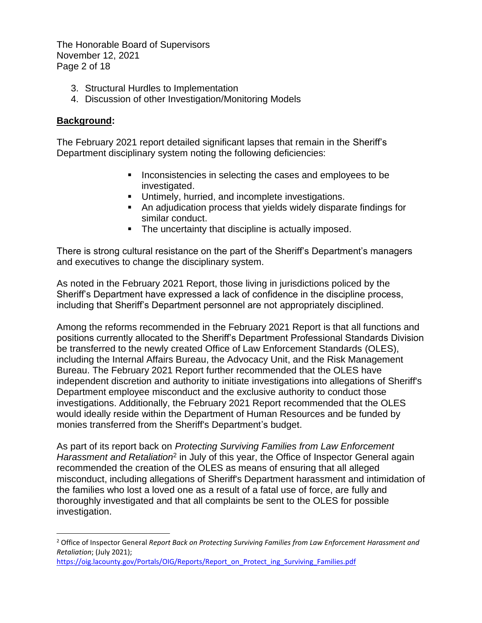The Honorable Board of Supervisors November 12, 2021 Page 2 of 18

- 3. Structural Hurdles to Implementation
- 4. Discussion of other Investigation/Monitoring Models

## **Background:**

The February 2021 report detailed significant lapses that remain in the Sheriff's Department disciplinary system noting the following deficiencies:

- Inconsistencies in selecting the cases and employees to be investigated.
- Untimely, hurried, and incomplete investigations.
- An adjudication process that yields widely disparate findings for similar conduct.
- The uncertainty that discipline is actually imposed.

There is strong cultural resistance on the part of the Sheriff's Department's managers and executives to change the disciplinary system.

As noted in the February 2021 Report, those living in jurisdictions policed by the Sheriff's Department have expressed a lack of confidence in the discipline process, including that Sheriff's Department personnel are not appropriately disciplined.

Among the reforms recommended in the February 2021 Report is that all functions and positions currently allocated to the Sheriff's Department Professional Standards Division be transferred to the newly created Office of Law Enforcement Standards (OLES), including the Internal Affairs Bureau, the Advocacy Unit, and the Risk Management Bureau. The February 2021 Report further recommended that the OLES have independent discretion and authority to initiate investigations into allegations of Sheriff's Department employee misconduct and the exclusive authority to conduct those investigations. Additionally, the February 2021 Report recommended that the OLES would ideally reside within the Department of Human Resources and be funded by monies transferred from the Sheriff's Department's budget.

As part of its report back on *Protecting Surviving Families from Law Enforcement*  Harassment and Retaliation<sup>2</sup> in July of this year, the Office of Inspector General again recommended the creation of the OLES as means of ensuring that all alleged misconduct, including allegations of Sheriff's Department harassment and intimidation of the families who lost a loved one as a result of a fatal use of force, are fully and thoroughly investigated and that all complaints be sent to the OLES for possible investigation.

<sup>2</sup> Office of Inspector General *Report Back on Protecting Surviving Families from Law Enforcement Harassment and Retaliation*; (July 2021);

[https://oig.lacounty.gov/Portals/OIG/Reports/Report\\_on\\_Protect\\_ing\\_Surviving\\_Families.pdf](https://oig.lacounty.gov/Portals/OIG/Reports/Report_on_Protect_ing_Surviving_Families.pdf)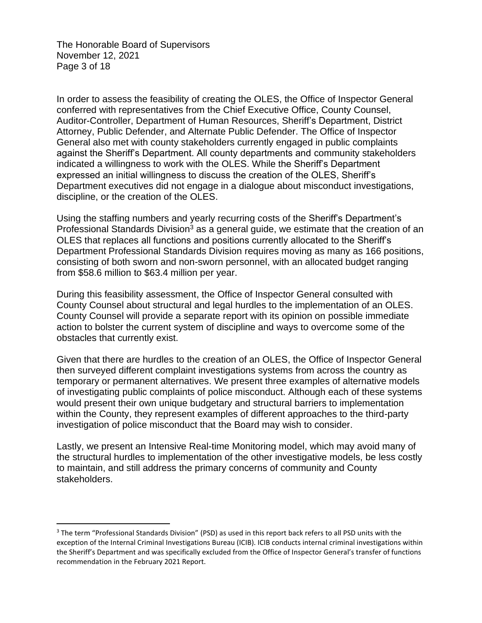The Honorable Board of Supervisors November 12, 2021 Page 3 of 18

In order to assess the feasibility of creating the OLES, the Office of Inspector General conferred with representatives from the Chief Executive Office, County Counsel, Auditor-Controller, Department of Human Resources, Sheriff's Department, District Attorney, Public Defender, and Alternate Public Defender. The Office of Inspector General also met with county stakeholders currently engaged in public complaints against the Sheriff's Department. All county departments and community stakeholders indicated a willingness to work with the OLES. While the Sheriff's Department expressed an initial willingness to discuss the creation of the OLES, Sheriff's Department executives did not engage in a dialogue about misconduct investigations, discipline, or the creation of the OLES.

Using the staffing numbers and yearly recurring costs of the Sheriff's Department's Professional Standards Division<sup>3</sup> as a general guide, we estimate that the creation of an OLES that replaces all functions and positions currently allocated to the Sheriff's Department Professional Standards Division requires moving as many as 166 positions, consisting of both sworn and non-sworn personnel, with an allocated budget ranging from \$58.6 million to \$63.4 million per year.

During this feasibility assessment, the Office of Inspector General consulted with County Counsel about structural and legal hurdles to the implementation of an OLES. County Counsel will provide a separate report with its opinion on possible immediate action to bolster the current system of discipline and ways to overcome some of the obstacles that currently exist.

Given that there are hurdles to the creation of an OLES, the Office of Inspector General then surveyed different complaint investigations systems from across the country as temporary or permanent alternatives. We present three examples of alternative models of investigating public complaints of police misconduct. Although each of these systems would present their own unique budgetary and structural barriers to implementation within the County, they represent examples of different approaches to the third-party investigation of police misconduct that the Board may wish to consider.

Lastly, we present an Intensive Real-time Monitoring model, which may avoid many of the structural hurdles to implementation of the other investigative models, be less costly to maintain, and still address the primary concerns of community and County stakeholders.

<sup>&</sup>lt;sup>3</sup> The term "Professional Standards Division" (PSD) as used in this report back refers to all PSD units with the exception of the Internal Criminal Investigations Bureau (ICIB). ICIB conducts internal criminal investigations within the Sheriff's Department and was specifically excluded from the Office of Inspector General's transfer of functions recommendation in the February 2021 Report.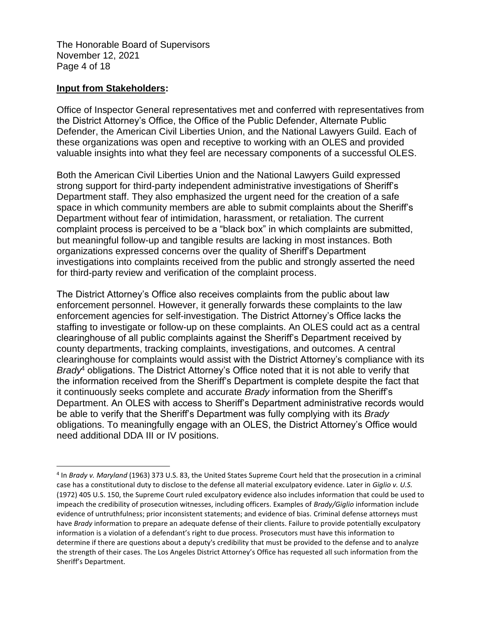The Honorable Board of Supervisors November 12, 2021 Page 4 of 18

#### **Input from Stakeholders:**

Office of Inspector General representatives met and conferred with representatives from the District Attorney's Office, the Office of the Public Defender, Alternate Public Defender, the American Civil Liberties Union, and the National Lawyers Guild. Each of these organizations was open and receptive to working with an OLES and provided valuable insights into what they feel are necessary components of a successful OLES.

Both the American Civil Liberties Union and the National Lawyers Guild expressed strong support for third-party independent administrative investigations of Sheriff's Department staff. They also emphasized the urgent need for the creation of a safe space in which community members are able to submit complaints about the Sheriff's Department without fear of intimidation, harassment, or retaliation. The current complaint process is perceived to be a "black box" in which complaints are submitted, but meaningful follow-up and tangible results are lacking in most instances. Both organizations expressed concerns over the quality of Sheriff's Department investigations into complaints received from the public and strongly asserted the need for third-party review and verification of the complaint process.

The District Attorney's Office also receives complaints from the public about law enforcement personnel. However, it generally forwards these complaints to the law enforcement agencies for self-investigation. The District Attorney's Office lacks the staffing to investigate or follow-up on these complaints. An OLES could act as a central clearinghouse of all public complaints against the Sheriff's Department received by county departments, tracking complaints, investigations, and outcomes. A central clearinghouse for complaints would assist with the District Attorney's compliance with its *Brady*<sup>4</sup> obligations. The District Attorney's Office noted that it is not able to verify that the information received from the Sheriff's Department is complete despite the fact that it continuously seeks complete and accurate *Brady* information from the Sheriff's Department. An OLES with access to Sheriff's Department administrative records would be able to verify that the Sheriff's Department was fully complying with its *Brady* obligations. To meaningfully engage with an OLES, the District Attorney's Office would need additional DDA III or IV positions.

<sup>4</sup> In *Brady v. Maryland* (1963) 373 U.S. 83, the United States Supreme Court held that the prosecution in a criminal case has a constitutional duty to disclose to the defense all material exculpatory evidence. Later in *Giglio v. U.S.* (1972) 405 U.S. 150, the Supreme Court ruled exculpatory evidence also includes information that could be used to impeach the credibility of prosecution witnesses, including officers. Examples of *Brady/Giglio* information include evidence of untruthfulness; prior inconsistent statements; and evidence of bias. Criminal defense attorneys must have *Brady* information to prepare an adequate defense of their clients. Failure to provide potentially exculpatory information is a violation of a defendant's right to due process. Prosecutors must have this information to determine if there are questions about a deputy's credibility that must be provided to the defense and to analyze the strength of their cases. The Los Angeles District Attorney's Office has requested all such information from the Sheriff's Department.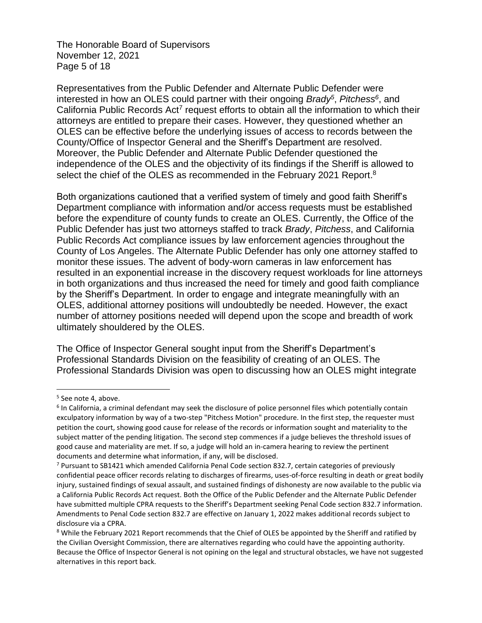The Honorable Board of Supervisors November 12, 2021 Page 5 of 18

Representatives from the Public Defender and Alternate Public Defender were interested in how an OLES could partner with their ongoing *Brady<sup>5</sup>* , *Pitchess<sup>6</sup>* , and California Public Records Act<sup>7</sup> request efforts to obtain all the information to which their attorneys are entitled to prepare their cases. However, they questioned whether an OLES can be effective before the underlying issues of access to records between the County/Office of Inspector General and the Sheriff's Department are resolved. Moreover, the Public Defender and Alternate Public Defender questioned the independence of the OLES and the objectivity of its findings if the Sheriff is allowed to select the chief of the OLES as recommended in the February 2021 Report.<sup>8</sup>

Both organizations cautioned that a verified system of timely and good faith Sheriff's Department compliance with information and/or access requests must be established before the expenditure of county funds to create an OLES. Currently, the Office of the Public Defender has just two attorneys staffed to track *Brady*, *Pitchess*, and California Public Records Act compliance issues by law enforcement agencies throughout the County of Los Angeles. The Alternate Public Defender has only one attorney staffed to monitor these issues. The advent of body-worn cameras in law enforcement has resulted in an exponential increase in the discovery request workloads for line attorneys in both organizations and thus increased the need for timely and good faith compliance by the Sheriff's Department. In order to engage and integrate meaningfully with an OLES, additional attorney positions will undoubtedly be needed. However, the exact number of attorney positions needed will depend upon the scope and breadth of work ultimately shouldered by the OLES.

The Office of Inspector General sought input from the Sheriff's Department's Professional Standards Division on the feasibility of creating of an OLES. The Professional Standards Division was open to discussing how an OLES might integrate

<sup>&</sup>lt;sup>5</sup> See note 4, above.

<sup>&</sup>lt;sup>6</sup> In California, a criminal defendant may seek the disclosure of police personnel files which potentially contain exculpatory information by way of a two-step "Pitchess Motion" procedure. In the first step, the requester must petition the court, showing good cause for release of the records or information sought and materiality to the subject matter of the pending litigation. The second step commences if a judge believes the threshold issues of good cause and materiality are met. If so, a judge will hold an in-camera hearing to review the pertinent documents and determine what information, if any, will be disclosed.

<sup>7</sup> Pursuant to SB1421 which amended California Penal Code section 832.7, certain categories of previously confidential peace officer records relating to discharges of firearms, uses-of-force resulting in death or great bodily injury, sustained findings of sexual assault, and sustained findings of dishonesty are now available to the public via a California Public Records Act request. Both the Office of the Public Defender and the Alternate Public Defender have submitted multiple CPRA requests to the Sheriff's Department seeking Penal Code section 832.7 information. Amendments to Penal Code section 832.7 are effective on January 1, 2022 makes additional records subject to disclosure via a CPRA.

<sup>&</sup>lt;sup>8</sup> While the February 2021 Report recommends that the Chief of OLES be appointed by the Sheriff and ratified by the Civilian Oversight Commission, there are alternatives regarding who could have the appointing authority. Because the Office of Inspector General is not opining on the legal and structural obstacles, we have not suggested alternatives in this report back.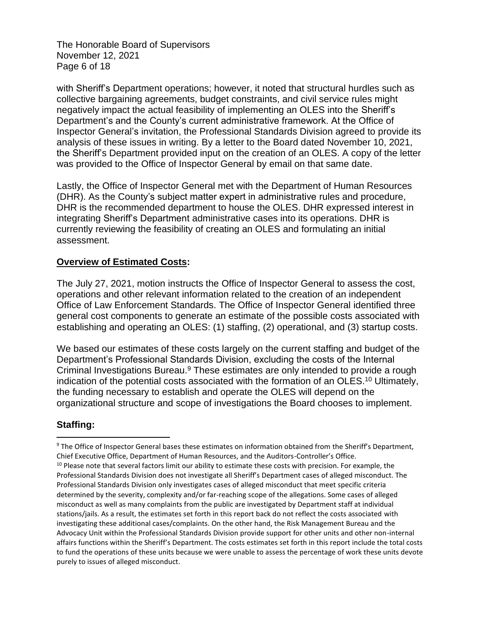The Honorable Board of Supervisors November 12, 2021 Page 6 of 18

with Sheriff's Department operations; however, it noted that structural hurdles such as collective bargaining agreements, budget constraints, and civil service rules might negatively impact the actual feasibility of implementing an OLES into the Sheriff's Department's and the County's current administrative framework. At the Office of Inspector General's invitation, the Professional Standards Division agreed to provide its analysis of these issues in writing. By a letter to the Board dated November 10, 2021, the Sheriff's Department provided input on the creation of an OLES. A copy of the letter was provided to the Office of Inspector General by email on that same date.

Lastly, the Office of Inspector General met with the Department of Human Resources (DHR). As the County's subject matter expert in administrative rules and procedure, DHR is the recommended department to house the OLES. DHR expressed interest in integrating Sheriff's Department administrative cases into its operations. DHR is currently reviewing the feasibility of creating an OLES and formulating an initial assessment.

## **Overview of Estimated Costs:**

The July 27, 2021, motion instructs the Office of Inspector General to assess the cost, operations and other relevant information related to the creation of an independent Office of Law Enforcement Standards. The Office of Inspector General identified three general cost components to generate an estimate of the possible costs associated with establishing and operating an OLES: (1) staffing, (2) operational, and (3) startup costs.

We based our estimates of these costs largely on the current staffing and budget of the Department's Professional Standards Division, excluding the costs of the Internal Criminal Investigations Bureau.<sup>9</sup> These estimates are only intended to provide a rough indication of the potential costs associated with the formation of an OLES.<sup>10</sup> Ultimately, the funding necessary to establish and operate the OLES will depend on the organizational structure and scope of investigations the Board chooses to implement.

# **Staffing:**

<sup>9</sup> The Office of Inspector General bases these estimates on information obtained from the Sheriff's Department, Chief Executive Office, Department of Human Resources, and the Auditors-Controller's Office.

<sup>&</sup>lt;sup>10</sup> Please note that several factors limit our ability to estimate these costs with precision. For example, the Professional Standards Division does not investigate all Sheriff's Department cases of alleged misconduct. The Professional Standards Division only investigates cases of alleged misconduct that meet specific criteria determined by the severity, complexity and/or far-reaching scope of the allegations. Some cases of alleged misconduct as well as many complaints from the public are investigated by Department staff at individual stations/jails. As a result, the estimates set forth in this report back do not reflect the costs associated with investigating these additional cases/complaints. On the other hand, the Risk Management Bureau and the Advocacy Unit within the Professional Standards Division provide support for other units and other non-internal affairs functions within the Sheriff's Department. The costs estimates set forth in this report include the total costs to fund the operations of these units because we were unable to assess the percentage of work these units devote purely to issues of alleged misconduct.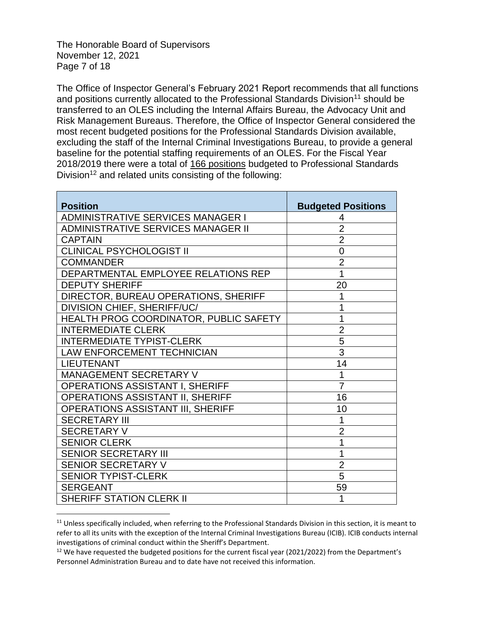The Honorable Board of Supervisors November 12, 2021 Page 7 of 18

The Office of Inspector General's February 2021 Report recommends that all functions and positions currently allocated to the Professional Standards Division<sup>11</sup> should be transferred to an OLES including the Internal Affairs Bureau, the Advocacy Unit and Risk Management Bureaus. Therefore, the Office of Inspector General considered the most recent budgeted positions for the Professional Standards Division available, excluding the staff of the Internal Criminal Investigations Bureau, to provide a general baseline for the potential staffing requirements of an OLES. For the Fiscal Year 2018/2019 there were a total of 166 positions budgeted to Professional Standards Division<sup>12</sup> and related units consisting of the following:

| <b>Position</b>                           | <b>Budgeted Positions</b> |  |
|-------------------------------------------|---------------------------|--|
| ADMINISTRATIVE SERVICES MANAGER I         | 4                         |  |
| <b>ADMINISTRATIVE SERVICES MANAGER II</b> | $\overline{2}$            |  |
| <b>CAPTAIN</b>                            | $\overline{2}$            |  |
| <b>CLINICAL PSYCHOLOGIST II</b>           | $\overline{0}$            |  |
| <b>COMMANDER</b>                          | $\overline{2}$            |  |
| DEPARTMENTAL EMPLOYEE RELATIONS REP       | 1                         |  |
| <b>DEPUTY SHERIFF</b>                     | 20                        |  |
| DIRECTOR, BUREAU OPERATIONS, SHERIFF      | 1                         |  |
| DIVISION CHIEF, SHERIFF/UC/               | 1                         |  |
| HEALTH PROG COORDINATOR, PUBLIC SAFETY    | 1                         |  |
| <b>INTERMEDIATE CLERK</b>                 | $\overline{2}$            |  |
| <b>INTERMEDIATE TYPIST-CLERK</b>          | 5                         |  |
| LAW ENFORCEMENT TECHNICIAN                | $\overline{3}$            |  |
| <b>LIEUTENANT</b>                         | 14                        |  |
| MANAGEMENT SECRETARY V                    | 1                         |  |
| OPERATIONS ASSISTANT I, SHERIFF           | $\overline{7}$            |  |
| OPERATIONS ASSISTANT II, SHERIFF          | 16                        |  |
| <b>OPERATIONS ASSISTANT III, SHERIFF</b>  | 10                        |  |
| <b>SECRETARY III</b>                      | 1                         |  |
| <b>SECRETARY V</b>                        | $\overline{2}$            |  |
| <b>SENIOR CLERK</b>                       | 1                         |  |
| <b>SENIOR SECRETARY III</b>               | 1                         |  |
| <b>SENIOR SECRETARY V</b>                 | $\overline{2}$            |  |
| <b>SENIOR TYPIST-CLERK</b>                | 5                         |  |
| <b>SERGEANT</b>                           | 59                        |  |
| SHERIFF STATION CLERK II                  | 1                         |  |

<sup>&</sup>lt;sup>11</sup> Unless specifically included, when referring to the Professional Standards Division in this section, it is meant to refer to all its units with the exception of the Internal Criminal Investigations Bureau (ICIB). ICIB conducts internal investigations of criminal conduct within the Sheriff's Department.

 $12$  We have requested the budgeted positions for the current fiscal year (2021/2022) from the Department's Personnel Administration Bureau and to date have not received this information.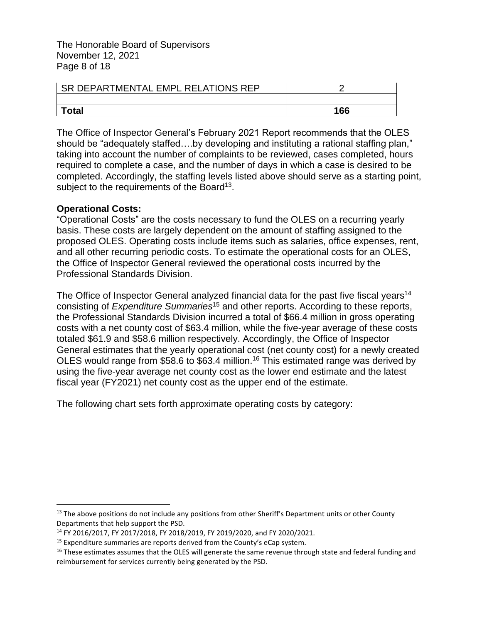The Honorable Board of Supervisors November 12, 2021 Page 8 of 18

| <b>SR DEPARTMENTAL EMPL RELATIONS REP</b> |     |
|-------------------------------------------|-----|
|                                           |     |
| <sup>-</sup> otal                         | 166 |

The Office of Inspector General's February 2021 Report recommends that the OLES should be "adequately staffed….by developing and instituting a rational staffing plan," taking into account the number of complaints to be reviewed, cases completed, hours required to complete a case, and the number of days in which a case is desired to be completed. Accordingly, the staffing levels listed above should serve as a starting point, subject to the requirements of the Board<sup>13</sup>.

#### **Operational Costs:**

"Operational Costs" are the costs necessary to fund the OLES on a recurring yearly basis. These costs are largely dependent on the amount of staffing assigned to the proposed OLES. Operating costs include items such as salaries, office expenses, rent, and all other recurring periodic costs. To estimate the operational costs for an OLES, the Office of Inspector General reviewed the operational costs incurred by the Professional Standards Division.

The Office of Inspector General analyzed financial data for the past five fiscal years<sup>14</sup> consisting of *Expenditure Summaries*<sup>15</sup> and other reports. According to these reports, the Professional Standards Division incurred a total of \$66.4 million in gross operating costs with a net county cost of \$63.4 million, while the five-year average of these costs totaled \$61.9 and \$58.6 million respectively. Accordingly, the Office of Inspector General estimates that the yearly operational cost (net county cost) for a newly created OLES would range from \$58.6 to \$63.4 million.<sup>16</sup> This estimated range was derived by using the five-year average net county cost as the lower end estimate and the latest fiscal year (FY2021) net county cost as the upper end of the estimate.

The following chart sets forth approximate operating costs by category:

 $<sup>13</sup>$  The above positions do not include any positions from other Sheriff's Department units or other County</sup> Departments that help support the PSD.

<sup>14</sup> FY 2016/2017, FY 2017/2018, FY 2018/2019, FY 2019/2020, and FY 2020/2021.

 $15$  Expenditure summaries are reports derived from the County's eCap system.

<sup>&</sup>lt;sup>16</sup> These estimates assumes that the OLES will generate the same revenue through state and federal funding and reimbursement for services currently being generated by the PSD.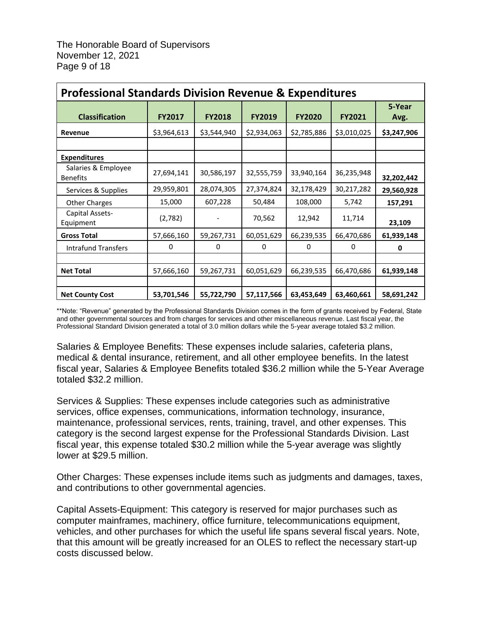| <b>Professional Standards Division Revenue &amp; Expenditures</b> |               |               |               |               |               |                |  |  |
|-------------------------------------------------------------------|---------------|---------------|---------------|---------------|---------------|----------------|--|--|
| <b>Classification</b>                                             | <b>FY2017</b> | <b>FY2018</b> | <b>FY2019</b> | <b>FY2020</b> | <b>FY2021</b> | 5-Year<br>Avg. |  |  |
| Revenue                                                           | \$3,964,613   | \$3,544,940   | \$2,934,063   | \$2,785,886   | \$3,010,025   | \$3,247,906    |  |  |
|                                                                   |               |               |               |               |               |                |  |  |
| <b>Expenditures</b>                                               |               |               |               |               |               |                |  |  |
| Salaries & Employee<br><b>Benefits</b>                            | 27,694,141    | 30,586,197    | 32,555,759    | 33,940,164    | 36,235,948    | 32,202,442     |  |  |
| Services & Supplies                                               | 29,959,801    | 28,074,305    | 27,374,824    | 32,178,429    | 30,217,282    | 29,560,928     |  |  |
| <b>Other Charges</b>                                              | 15,000        | 607,228       | 50,484        | 108,000       | 5,742         | 157,291        |  |  |
| Capital Assets-<br>Equipment                                      | (2,782)       |               | 70,562        | 12,942        | 11,714        | 23,109         |  |  |
| <b>Gross Total</b>                                                | 57,666,160    | 59,267,731    | 60,051,629    | 66,239,535    | 66,470,686    | 61,939,148     |  |  |
| <b>Intrafund Transfers</b>                                        | $\Omega$      | 0             | 0             | 0             | 0             | 0              |  |  |
|                                                                   |               |               |               |               |               |                |  |  |
| <b>Net Total</b>                                                  | 57,666,160    | 59,267,731    | 60,051,629    | 66,239,535    | 66,470,686    | 61,939,148     |  |  |
|                                                                   |               |               |               |               |               |                |  |  |
| <b>Net County Cost</b>                                            | 53,701,546    | 55,722,790    | 57,117,566    | 63,453,649    | 63,460,661    | 58,691,242     |  |  |

\*\*Note: "Revenue" generated by the Professional Standards Division comes in the form of grants received by Federal, State and other governmental sources and from charges for services and other miscellaneous revenue. Last fiscal year, the Professional Standard Division generated a total of 3.0 million dollars while the 5-year average totaled \$3.2 million.

Salaries & Employee Benefits: These expenses include salaries, cafeteria plans, medical & dental insurance, retirement, and all other employee benefits. In the latest fiscal year, Salaries & Employee Benefits totaled \$36.2 million while the 5-Year Average totaled \$32.2 million.

Services & Supplies: These expenses include categories such as administrative services, office expenses, communications, information technology, insurance, maintenance, professional services, rents, training, travel, and other expenses. This category is the second largest expense for the Professional Standards Division. Last fiscal year, this expense totaled \$30.2 million while the 5-year average was slightly lower at \$29.5 million.

Other Charges: These expenses include items such as judgments and damages, taxes, and contributions to other governmental agencies.

Capital Assets-Equipment: This category is reserved for major purchases such as computer mainframes, machinery, office furniture, telecommunications equipment, vehicles, and other purchases for which the useful life spans several fiscal years. Note, that this amount will be greatly increased for an OLES to reflect the necessary start-up costs discussed below.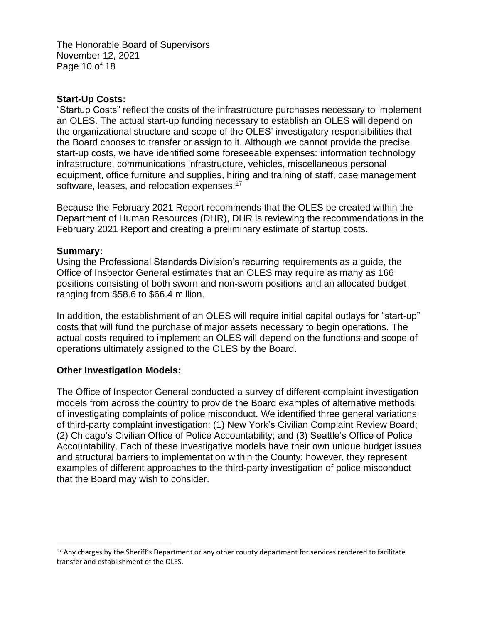The Honorable Board of Supervisors November 12, 2021 Page 10 of 18

#### **Start-Up Costs:**

"Startup Costs" reflect the costs of the infrastructure purchases necessary to implement an OLES. The actual start-up funding necessary to establish an OLES will depend on the organizational structure and scope of the OLES' investigatory responsibilities that the Board chooses to transfer or assign to it. Although we cannot provide the precise start-up costs, we have identified some foreseeable expenses: information technology infrastructure, communications infrastructure, vehicles, miscellaneous personal equipment, office furniture and supplies, hiring and training of staff, case management software, leases, and relocation expenses.<sup>17</sup>

Because the February 2021 Report recommends that the OLES be created within the Department of Human Resources (DHR), DHR is reviewing the recommendations in the February 2021 Report and creating a preliminary estimate of startup costs.

#### **Summary:**

Using the Professional Standards Division's recurring requirements as a guide, the Office of Inspector General estimates that an OLES may require as many as 166 positions consisting of both sworn and non-sworn positions and an allocated budget ranging from \$58.6 to \$66.4 million.

In addition, the establishment of an OLES will require initial capital outlays for "start-up" costs that will fund the purchase of major assets necessary to begin operations. The actual costs required to implement an OLES will depend on the functions and scope of operations ultimately assigned to the OLES by the Board.

#### **Other Investigation Models:**

The Office of Inspector General conducted a survey of different complaint investigation models from across the country to provide the Board examples of alternative methods of investigating complaints of police misconduct. We identified three general variations of third-party complaint investigation: (1) New York's Civilian Complaint Review Board; (2) Chicago's Civilian Office of Police Accountability; and (3) Seattle's Office of Police Accountability. Each of these investigative models have their own unique budget issues and structural barriers to implementation within the County; however, they represent examples of different approaches to the third-party investigation of police misconduct that the Board may wish to consider.

 $17$  Any charges by the Sheriff's Department or any other county department for services rendered to facilitate transfer and establishment of the OLES.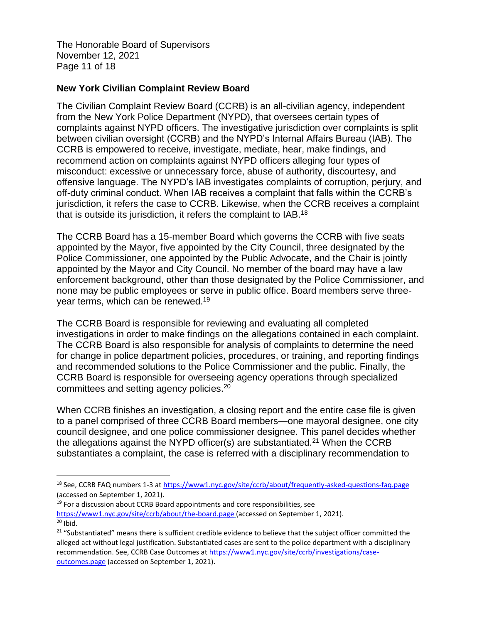The Honorable Board of Supervisors November 12, 2021 Page 11 of 18

#### **New York Civilian Complaint Review Board**

The Civilian Complaint Review Board (CCRB) is an all-civilian agency, independent from the New York Police Department (NYPD), that oversees certain types of complaints against NYPD officers. The investigative jurisdiction over complaints is split between civilian oversight (CCRB) and the NYPD's Internal Affairs Bureau (IAB). The CCRB is empowered to receive, investigate, mediate, hear, make findings, and recommend action on complaints against NYPD officers alleging four types of misconduct: excessive or unnecessary force, abuse of authority, discourtesy, and offensive language. The NYPD's IAB investigates complaints of corruption, perjury, and off-duty criminal conduct. When IAB receives a complaint that falls within the CCRB's jurisdiction, it refers the case to CCRB. Likewise, when the CCRB receives a complaint that is outside its jurisdiction, it refers the complaint to IAB.<sup>18</sup>

The CCRB Board has a 15-member Board which governs the CCRB with five seats appointed by the Mayor, five appointed by the City Council, three designated by the Police Commissioner, one appointed by the Public Advocate, and the Chair is jointly appointed by the Mayor and City Council. No member of the board may have a law enforcement background, other than those designated by the Police Commissioner, and none may be public employees or serve in public office. Board members serve threeyear terms, which can be renewed.<sup>19</sup>

The CCRB Board is responsible for reviewing and evaluating all completed investigations in order to make findings on the allegations contained in each complaint. The CCRB Board is also responsible for analysis of complaints to determine the need for change in police department policies, procedures, or training, and reporting findings and recommended solutions to the Police Commissioner and the public. Finally, the CCRB Board is responsible for overseeing agency operations through specialized committees and setting agency policies.<sup>20</sup>

When CCRB finishes an investigation, a closing report and the entire case file is given to a panel comprised of three CCRB Board members—one mayoral designee, one city council designee, and one police commissioner designee. This panel decides whether the allegations against the NYPD officer(s) are substantiated.<sup>21</sup> When the CCRB substantiates a complaint, the case is referred with a disciplinary recommendation to

 $19$  For a discussion about CCRB Board appointments and core responsibilities, see <https://www1.nyc.gov/site/ccrb/about/the-board.page> (accessed on September 1, 2021).  $20$  Ibid.

<sup>&</sup>lt;sup>18</sup> See, CCRB FAQ numbers 1-3 a[t https://www1.nyc.gov/site/ccrb/about/frequently-asked-questions-faq.page](https://www1.nyc.gov/site/ccrb/about/frequently-asked-questions-faq.page) (accessed on September 1, 2021).

<sup>&</sup>lt;sup>21</sup> "Substantiated" means there is sufficient credible evidence to believe that the subject officer committed the alleged act without legal justification. Substantiated cases are sent to the police department with a disciplinary recommendation. See, CCRB Case Outcomes at [https://www1.nyc.gov/site/ccrb/investigations/case](https://www1.nyc.gov/site/ccrb/investigations/case-outcomes.page)[outcomes.page](https://www1.nyc.gov/site/ccrb/investigations/case-outcomes.page) (accessed on September 1, 2021).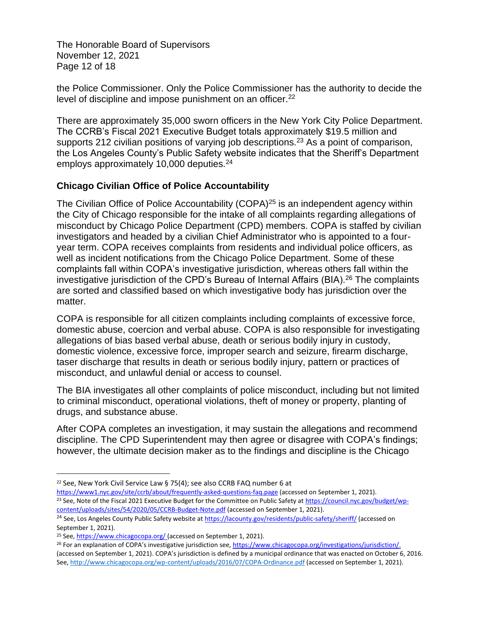The Honorable Board of Supervisors November 12, 2021 Page 12 of 18

the Police Commissioner. Only the Police Commissioner has the authority to decide the level of discipline and impose punishment on an officer.<sup>22</sup>

There are approximately 35,000 sworn officers in the New York City Police Department. The CCRB's Fiscal 2021 Executive Budget totals approximately \$19.5 million and supports 212 civilian positions of varying job descriptions.<sup>23</sup> As a point of comparison, the Los Angeles County's Public Safety website indicates that the Sheriff's Department employs approximately 10,000 deputies.<sup>24</sup>

# **Chicago Civilian Office of Police Accountability**

The Civilian Office of Police Accountability (COPA)<sup>25</sup> is an independent agency within the City of Chicago responsible for the intake of all complaints regarding allegations of misconduct by Chicago Police Department (CPD) members. COPA is staffed by civilian investigators and headed by a civilian Chief Administrator who is appointed to a fouryear term. COPA receives complaints from residents and individual police officers, as well as incident notifications from the Chicago Police Department. Some of these complaints fall within COPA's investigative jurisdiction, whereas others fall within the investigative jurisdiction of the CPD's Bureau of Internal Affairs (BIA).<sup>26</sup> The complaints are sorted and classified based on which investigative body has jurisdiction over the matter.

COPA is responsible for all citizen complaints including complaints of excessive force, domestic abuse, coercion and verbal abuse. COPA is also responsible for investigating allegations of bias based verbal abuse, death or serious bodily injury in custody, domestic violence, excessive force, improper search and seizure, firearm discharge, taser discharge that results in death or serious bodily injury, pattern or practices of misconduct, and unlawful denial or access to counsel.

The BIA investigates all other complaints of police misconduct, including but not limited to criminal misconduct, operational violations, theft of money or property, planting of drugs, and substance abuse.

After COPA completes an investigation, it may sustain the allegations and recommend discipline. The CPD Superintendent may then agree or disagree with COPA's findings; however, the ultimate decision maker as to the findings and discipline is the Chicago

<https://www1.nyc.gov/site/ccrb/about/frequently-asked-questions-faq.page> (accessed on September 1, 2021). <sup>23</sup> See, Note of the Fiscal 2021 Executive Budget for the Committee on Public Safety at [https://council.nyc.gov/budget/wp](https://council.nyc.gov/budget/wp-content/uploads/sites/54/2020/05/CCRB-Budget-Note.pdf)[content/uploads/sites/54/2020/05/CCRB-Budget-Note.pdf](https://council.nyc.gov/budget/wp-content/uploads/sites/54/2020/05/CCRB-Budget-Note.pdf) (accessed on September 1, 2021).

<sup>22</sup> See, New York Civil Service Law § 75(4); see also CCRB FAQ number 6 at

<sup>&</sup>lt;sup>24</sup> See, Los Angeles County Public Safety website at<https://lacounty.gov/residents/public-safety/sheriff/> (accessed on September 1, 2021).

<sup>25</sup> See[, https://www.chicagocopa.org/](https://www.chicagocopa.org/) (accessed on September 1, 2021).

<sup>&</sup>lt;sup>26</sup> For an explanation of COPA's investigative jurisdiction see, [https://www.chicagocopa.org/investigations/jurisdiction/.](https://www.chicagocopa.org/investigations/jurisdiction/) (accessed on September 1, 2021). COPA's jurisdiction is defined by a municipal ordinance that was enacted on October 6, 2016. See[, http://www.chicagocopa.org/wp-content/uploads/2016/07/COPA-Ordinance.pdf](http://www.chicagocopa.org/wp-content/uploads/2016/07/COPA-Ordinance.pdf) (accessed on September 1, 2021).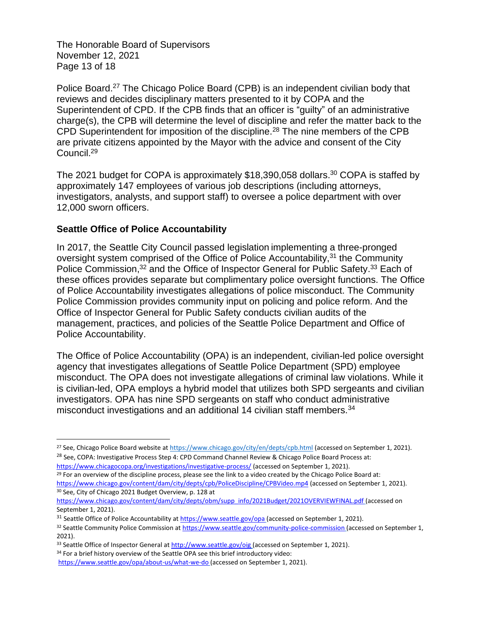The Honorable Board of Supervisors November 12, 2021 Page 13 of 18

Police Board.<sup>27</sup> The Chicago Police Board (CPB) is an independent civilian body that reviews and decides disciplinary matters presented to it by COPA and the Superintendent of CPD. If the CPB finds that an officer is "guilty" of an administrative charge(s), the CPB will determine the level of discipline and refer the matter back to the CPD Superintendent for imposition of the discipline.<sup>28</sup> The nine members of the CPB are private citizens appointed by the Mayor with the advice and consent of the City Council.<sup>29</sup>

The 2021 budget for COPA is approximately \$18,390,058 dollars.<sup>30</sup> COPA is staffed by approximately 147 employees of various job descriptions (including attorneys, investigators, analysts, and support staff) to oversee a police department with over 12,000 sworn officers.

#### **Seattle Office of Police Accountability**

In 2017, the Seattle City Council passed legislation implementing a three-pronged oversight system comprised of the Office of Police Accountability,<sup>31</sup> the Community [Police Commission,](https://www.seattle.gov/community-police-commission)<sup>32</sup> and the Office [of Inspector General for Public Safety.](http://www.seattle.gov/oig)<sup>33</sup> Each of these offices provides separate but complimentary police oversight functions. The Office of Police Accountability investigates allegations of police misconduct. The [Community](https://www.seattle.gov/community-police-commission)  [Police Commission](https://www.seattle.gov/community-police-commission) provides community input on policing and police reform. And the Office [of Inspector General for Public Safety](http://www.seattle.gov/oig) conducts civilian audits of the management, practices, and policies of the Seattle Police Department and Office of Police Accountability.

The Office of Police Accountability (OPA) is an independent, civilian-led police oversight agency that investigates allegations of Seattle Police Department (SPD) employee misconduct. The OPA does not investigate allegations of criminal law violations. While it is civilian-led, OPA employs a hybrid model that utilizes both SPD sergeants and civilian investigators. OPA has nine SPD sergeants on staff who conduct administrative misconduct investigations and an additional 14 civilian staff members.<sup>34</sup>

<sup>&</sup>lt;sup>27</sup> See, Chicago Police Board website at<https://www.chicago.gov/city/en/depts/cpb.html> (accessed on September 1, 2021). <sup>28</sup> See, COPA: Investigative Process Step 4: CPD Command Channel Review & Chicago Police Board Process at:

<https://www.chicagocopa.org/investigations/investigative-process/> (accessed on September 1, 2021).

 $29$  For an overview of the discipline process, please see the link to a video created by the Chicago Police Board at: <https://www.chicago.gov/content/dam/city/depts/cpb/PoliceDiscipline/CPBVideo.mp4> (accessed on September 1, 2021). <sup>30</sup> See, City of Chicago 2021 Budget Overview, p. 128 at

[https://www.chicago.gov/content/dam/city/depts/obm/supp\\_info/2021Budget/2021OVERVIEWFINAL.pdf](https://www.chicago.gov/content/dam/city/depts/obm/supp_info/2021Budget/2021OVERVIEWFINAL.pdf) (accessed on September 1, 2021).

<sup>&</sup>lt;sup>31</sup> Seattle Office of Police Accountability at<https://www.seattle.gov/opa> (accessed on September 1, 2021).

<sup>32</sup> Seattle Community Police Commission at<https://www.seattle.gov/community-police-commission> (accessed on September 1, 2021).

<sup>33</sup> Seattle Office of Inspector General a[t http://www.seattle.gov/oig](http://www.seattle.gov/oig) (accessed on September 1, 2021).

<sup>34</sup> For a brief history overview of the Seattle OPA see this brief introductory video:

<https://www.seattle.gov/opa/about-us/what-we-do> (accessed on September 1, 2021).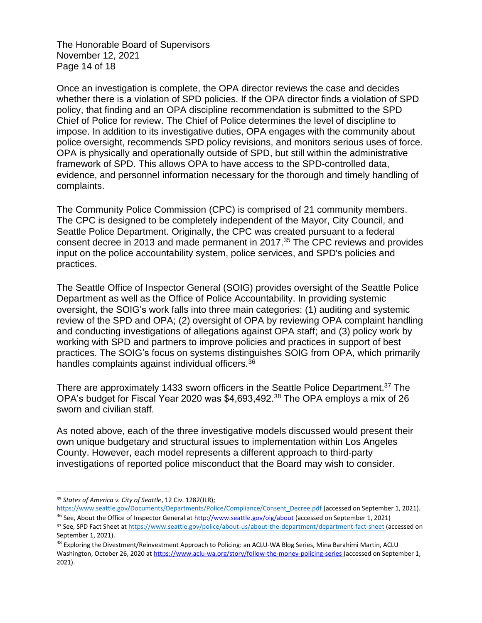The Honorable Board of Supervisors November 12, 2021 Page 14 of 18

Once an investigation is complete, the OPA director reviews the case and decides whether there is a violation of SPD policies. If the OPA director finds a violation of SPD policy, that finding and an OPA discipline recommendation is submitted to the SPD Chief of Police for review. The Chief of Police determines the level of discipline to impose. In addition to its investigative duties, OPA engages with the community about police oversight, recommends SPD policy revisions, and monitors serious uses of force. OPA is physically and operationally outside of SPD, but still within the administrative framework of SPD. This allows OPA to have access to the SPD-controlled data, evidence, and personnel information necessary for the thorough and timely handling of complaints.

The Community Police Commission (CPC) is comprised of 21 community members. The CPC is designed to be completely independent of the Mayor, City Council, and Seattle Police Department. Originally, the CPC was created pursuant to a federal consent decree in 2013 and made permanent in 2017. <sup>35</sup> The CPC reviews and provides input on the police accountability system, police services, and SPD's policies and practices.

The Seattle Office of Inspector General (SOIG) provides oversight of the Seattle Police Department as well as the Office of Police Accountability. In providing systemic oversight, the SOIG's work falls into three main categories: (1) auditing and systemic review of the SPD and OPA; (2) oversight of OPA by reviewing OPA complaint handling and conducting investigations of allegations against OPA staff; and (3) policy work by working with SPD and partners to improve policies and practices in support of best practices. The SOIG's focus on systems distinguishes SOIG from OPA, which primarily handles complaints against individual officers.<sup>36</sup>

There are approximately 1433 sworn officers in the Seattle Police Department.<sup>37</sup> The OPA's budget for Fiscal Year 2020 was \$4,693,492.<sup>38</sup> The OPA employs a mix of 26 sworn and civilian staff.

As noted above, each of the three investigative models discussed would present their own unique budgetary and structural issues to implementation within Los Angeles County. However, each model represents a different approach to third-party investigations of reported police misconduct that the Board may wish to consider.

<sup>35</sup> *States of America v. City of Seattle*, 12 Civ. 1282(JLR);

[https://www.seattle.gov/Documents/Departments/Police/Compliance/Consent\\_Decree.pdf](https://www.seattle.gov/Documents/Departments/Police/Compliance/Consent_Decree.pdf) (accessed on September 1, 2021). <sup>36</sup> See, About the Office of Inspector General at<http://www.seattle.gov/oig/about> (accessed on September 1, 2021)

<sup>37</sup> See, SPD Fact Sheet a[t https://www.seattle.gov/police/about-us/about-the-department/department-fact-sheet](https://www.seattle.gov/police/about-us/about-the-department/department-fact-sheet) (accessed on September 1, 2021).

<sup>&</sup>lt;sup>38</sup> Exploring the Divestment/Reinvestment Approach to Policing: an ACLU-WA Blog Series, Mina Barahimi Martin, ACLU Washington, October 26, 2020 a[t https://www.aclu-wa.org/story/follow-the-money-policing-series](https://www.aclu-wa.org/story/follow-the-money-policing-series) (accessed on September 1, 2021).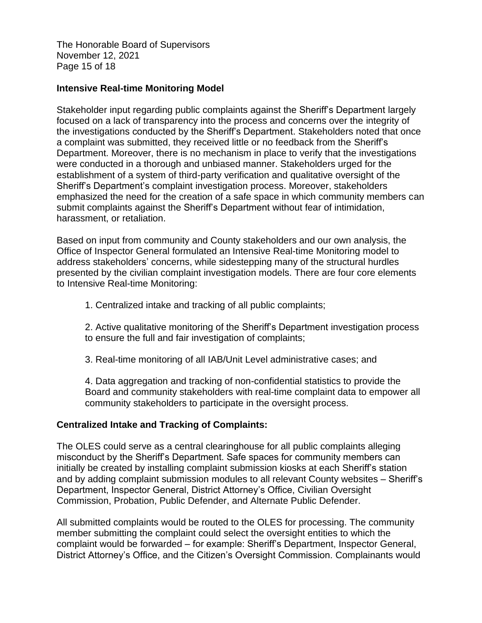The Honorable Board of Supervisors November 12, 2021 Page 15 of 18

#### **Intensive Real-time Monitoring Model**

Stakeholder input regarding public complaints against the Sheriff's Department largely focused on a lack of transparency into the process and concerns over the integrity of the investigations conducted by the Sheriff's Department. Stakeholders noted that once a complaint was submitted, they received little or no feedback from the Sheriff's Department. Moreover, there is no mechanism in place to verify that the investigations were conducted in a thorough and unbiased manner. Stakeholders urged for the establishment of a system of third-party verification and qualitative oversight of the Sheriff's Department's complaint investigation process. Moreover, stakeholders emphasized the need for the creation of a safe space in which community members can submit complaints against the Sheriff's Department without fear of intimidation, harassment, or retaliation.

Based on input from community and County stakeholders and our own analysis, the Office of Inspector General formulated an Intensive Real-time Monitoring model to address stakeholders' concerns, while sidestepping many of the structural hurdles presented by the civilian complaint investigation models. There are four core elements to Intensive Real-time Monitoring:

- 1. Centralized intake and tracking of all public complaints;
- 2. Active qualitative monitoring of the Sheriff's Department investigation process to ensure the full and fair investigation of complaints;
- 3. Real-time monitoring of all IAB/Unit Level administrative cases; and

4. Data aggregation and tracking of non-confidential statistics to provide the Board and community stakeholders with real-time complaint data to empower all community stakeholders to participate in the oversight process.

# **Centralized Intake and Tracking of Complaints:**

The OLES could serve as a central clearinghouse for all public complaints alleging misconduct by the Sheriff's Department. Safe spaces for community members can initially be created by installing complaint submission kiosks at each Sheriff's station and by adding complaint submission modules to all relevant County websites – Sheriff's Department, Inspector General, District Attorney's Office, Civilian Oversight Commission, Probation, Public Defender, and Alternate Public Defender.

All submitted complaints would be routed to the OLES for processing. The community member submitting the complaint could select the oversight entities to which the complaint would be forwarded – for example: Sheriff's Department, Inspector General, District Attorney's Office, and the Citizen's Oversight Commission. Complainants would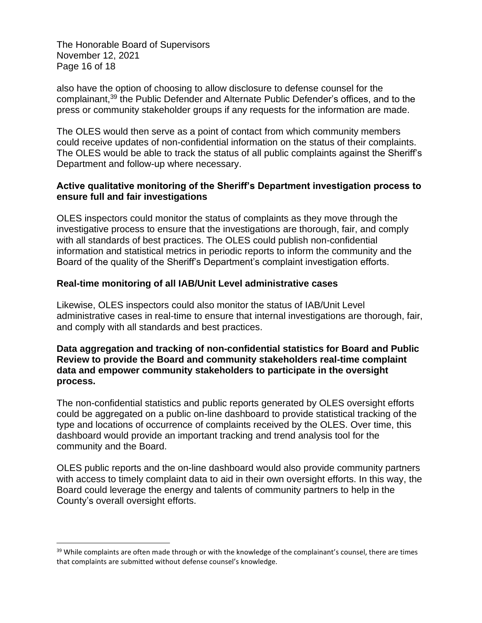The Honorable Board of Supervisors November 12, 2021 Page 16 of 18

also have the option of choosing to allow disclosure to defense counsel for the complainant,<sup>39</sup> the Public Defender and Alternate Public Defender's offices, and to the press or community stakeholder groups if any requests for the information are made.

The OLES would then serve as a point of contact from which community members could receive updates of non-confidential information on the status of their complaints. The OLES would be able to track the status of all public complaints against the Sheriff's Department and follow-up where necessary.

## **Active qualitative monitoring of the Sheriff's Department investigation process to ensure full and fair investigations**

OLES inspectors could monitor the status of complaints as they move through the investigative process to ensure that the investigations are thorough, fair, and comply with all standards of best practices. The OLES could publish non-confidential information and statistical metrics in periodic reports to inform the community and the Board of the quality of the Sheriff's Department's complaint investigation efforts.

#### **Real-time monitoring of all IAB/Unit Level administrative cases**

Likewise, OLES inspectors could also monitor the status of IAB/Unit Level administrative cases in real-time to ensure that internal investigations are thorough, fair, and comply with all standards and best practices.

#### **Data aggregation and tracking of non-confidential statistics for Board and Public Review to provide the Board and community stakeholders real-time complaint data and empower community stakeholders to participate in the oversight process.**

The non-confidential statistics and public reports generated by OLES oversight efforts could be aggregated on a public on-line dashboard to provide statistical tracking of the type and locations of occurrence of complaints received by the OLES. Over time, this dashboard would provide an important tracking and trend analysis tool for the community and the Board.

OLES public reports and the on-line dashboard would also provide community partners with access to timely complaint data to aid in their own oversight efforts. In this way, the Board could leverage the energy and talents of community partners to help in the County's overall oversight efforts.

<sup>&</sup>lt;sup>39</sup> While complaints are often made through or with the knowledge of the complainant's counsel, there are times that complaints are submitted without defense counsel's knowledge.